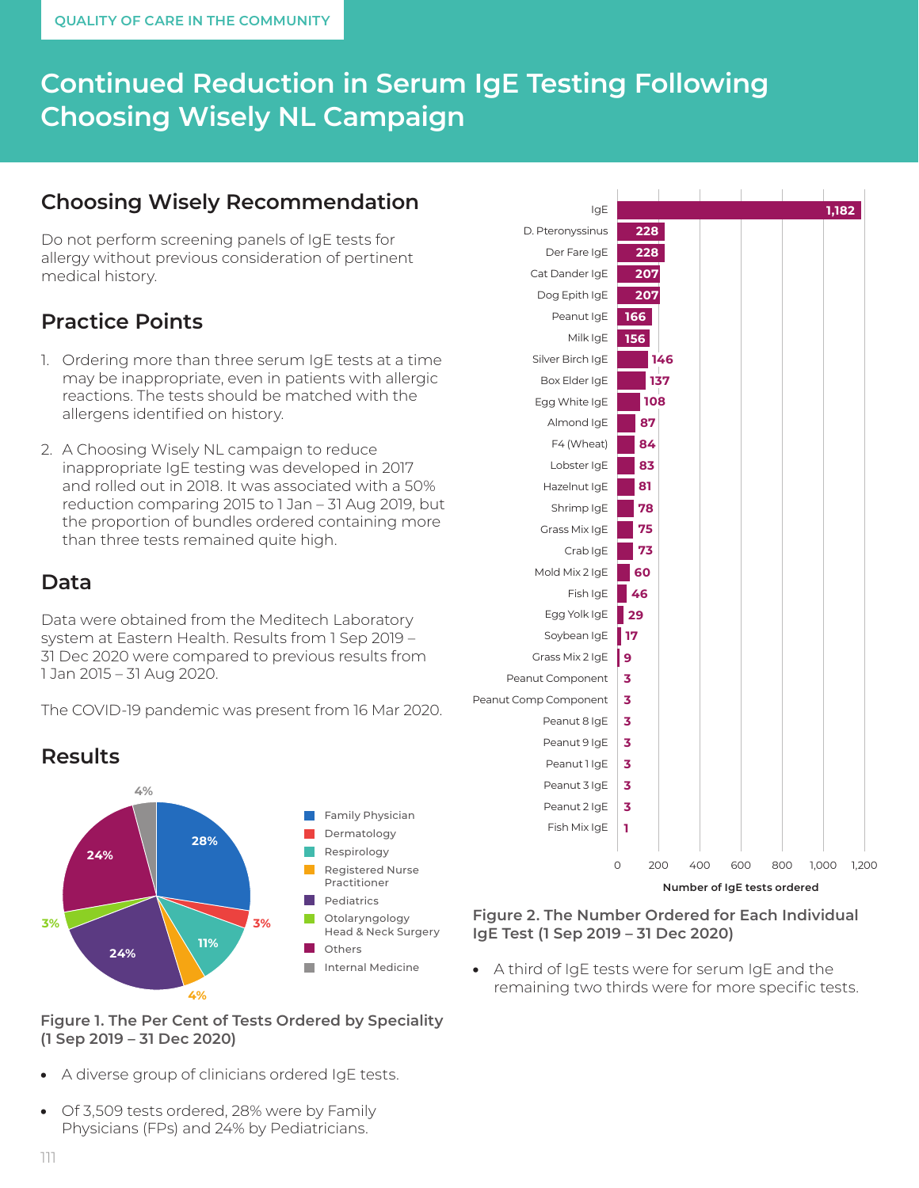# **Continued Reduction in Serum IgE Testing Following Choosing Wisely NL Campaign**

# **Choosing Wisely Recommendation**

Do not perform screening panels of IgE tests for allergy without previous consideration of pertinent medical history.

# **Practice Points**

- 1. Ordering more than three serum IgE tests at a time may be inappropriate, even in patients with allergic reactions. The tests should be matched with the allergens identified on history.
- 2. A Choosing Wisely NL campaign to reduce inappropriate IgE testing was developed in 2017 and rolled out in 2018. It was associated with a 50% reduction comparing 2015 to 1 Jan – 31 Aug 2019, but the proportion of bundles ordered containing more than three tests remained quite high.

### **Data**

Data were obtained from the Meditech Laboratory system at Eastern Health. Results from 1 Sep 2019 – 31 Dec 2020 were compared to previous results from 1 Jan 2015 – 31 Aug 2020.

The COVID-19 pandemic was present from 16 Mar 2020.





#### **Figure 1. The Per Cent of Tests Ordered by Speciality (1 Sep 2019 – 31 Dec 2020)**

- A diverse group of clinicians ordered IgE tests.
- Of 3,509 tests ordered, 28% were by Family Physicians (FPs) and 24% by Pediatricians.



**Number of IgE tests ordered**

**Figure 2. The Number Ordered for Each Individual IgE Test (1 Sep 2019 – 31 Dec 2020)**

• A third of IgE tests were for serum IgE and the remaining two thirds were for more specific tests.